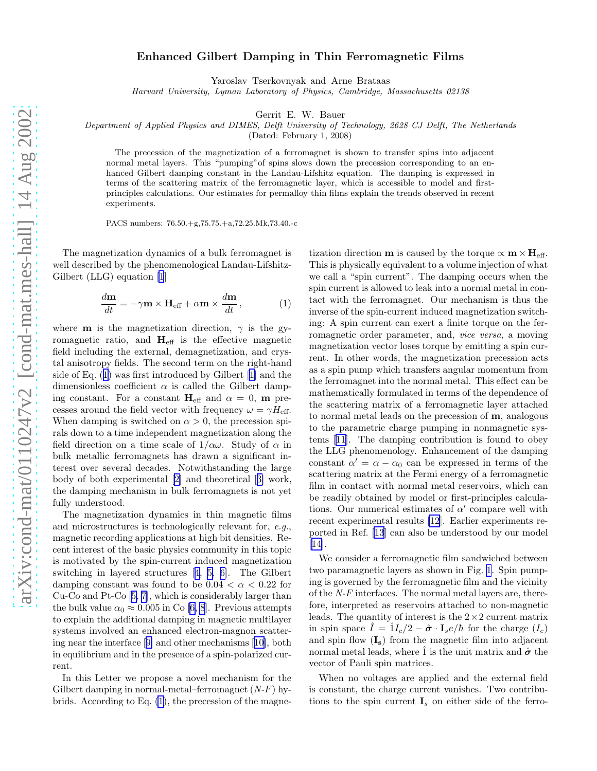## <span id="page-0-0"></span>Enhanced Gilbert Damping in Thin Ferromagnetic Films

Yaroslav Tserkovnyak and Arne Brataas

Harvard University, Lyman Laboratory of Physics, Cambridge, Massachusetts 02138

Gerrit E. W. Bauer

Department of Applied Physics and DIMES, Delft University of Technology, 2628 CJ Delft, The Netherlands

(Dated: February 1, 2008)

The precession of the magnetization of a ferromagnet is shown to transfer spins into adjacent normal metal layers. This "pumping" of spins slows down the precession corresponding to an enhanced Gilbert damping constant in the Landau-Lifshitz equation. The damping is expressed in terms of the scattering matrix of the ferromagnetic layer, which is accessible to model and firstprinciples calculations. Our estimates for permalloy thin films explain the trends observed in recent experiments.

PACS numbers: 76.50.+g,75.75.+a,72.25.Mk,73.40.-c

The magnetization dynamics of a bulk ferromagnet is well described by the phenomenological Landau-Lifshitz-Gilbert (LLG) equation [\[1](#page-3-0)]

$$
\frac{d\mathbf{m}}{dt} = -\gamma \mathbf{m} \times \mathbf{H}_{\text{eff}} + \alpha \mathbf{m} \times \frac{d\mathbf{m}}{dt},\qquad (1)
$$

where **m** is the magnetization direction,  $\gamma$  is the gyromagnetic ratio, and  $H_{\text{eff}}$  is the effective magnetic field including the external, demagnetization, and crystal anisotropy fields. The second term on the right-hand side of Eq. (1) was first introduced by Gilbert[[1\]](#page-3-0) and the dimensionless coefficient  $\alpha$  is called the Gilbert damping constant. For a constant  $H_{\text{eff}}$  and  $\alpha = 0$ , m precesses around the field vector with frequency  $\omega = \gamma H_{\text{eff}}$ . When damping is switched on  $\alpha > 0$ , the precession spirals down to a time independent magnetization along the field direction on a time scale of  $1/\alpha\omega$ . Study of  $\alpha$  in bulk metallic ferromagnets has drawn a significant interest over several decades. Notwithstanding the large body of both experimental [\[2\]](#page-3-0) and theoretical[[3\]](#page-3-0) work, the damping mechanism in bulk ferromagnets is not yet fully understood.

The magnetization dynamics in thin magnetic films and microstructures is technologically relevant for, e.g., magnetic recording applications at high bit densities. Recent interest of the basic physics community in this topic is motivated by the spin-current induced magnetization switching in layered structures[[4, 5, 6\]](#page-3-0). The Gilbert damping constant was found to be  $0.04 < \alpha < 0.22$  for Cu-Co and Pt-Co[[5, 7](#page-3-0)], which is considerably larger than thebulk value  $\alpha_0 \approx 0.005$  in Co [[6, 8](#page-3-0)]. Previous attempts to explain the additional damping in magnetic multilayer systems involved an enhanced electron-magnon scattering near the interface[[9\]](#page-3-0) and other mechanisms[[10\]](#page-3-0), both in equilibrium and in the presence of a spin-polarized current.

In this Letter we propose a novel mechanism for the Gilbert damping in normal-metal–ferromagnet  $(N-F)$  hybrids. According to Eq. (1), the precession of the magne-

tization direction **m** is caused by the torque  $\propto$  **m**  $\times$  **H**<sub>eff</sub>. This is physically equivalent to a volume injection of what we call a "spin current". The damping occurs when the spin current is allowed to leak into a normal metal in contact with the ferromagnet. Our mechanism is thus the inverse of the spin-current induced magnetization switching: A spin current can exert a finite torque on the ferromagnetic order parameter, and, vice versa, a moving magnetization vector loses torque by emitting a spin current. In other words, the magnetization precession acts as a spin pump which transfers angular momentum from the ferromagnet into the normal metal. This effect can be mathematically formulated in terms of the dependence of the scattering matrix of a ferromagnetic layer attached to normal metal leads on the precession of m, analogous to the parametric charge pumping in nonmagnetic systems[[11\]](#page-3-0). The damping contribution is found to obey the LLG phenomenology. Enhancement of the damping constant  $\alpha' = \alpha - \alpha_0$  can be expressed in terms of the scattering matrix at the Fermi energy of a ferromagnetic film in contact with normal metal reservoirs, which can be readily obtained by model or first-principles calculations. Our numerical estimates of  $\alpha'$  compare well with recent experimental results [\[12](#page-3-0)]. Earlier experiments reported in Ref. [\[13](#page-3-0)] can also be understood by our model [[14\]](#page-3-0).

We consider a ferromagnetic film sandwiched between two paramagnetic layers as shown in Fig. [1](#page-1-0). Spin pumping is governed by the ferromagnetic film and the vicinity of the N-F interfaces. The normal metal layers are, therefore, interpreted as reservoirs attached to non-magnetic leads. The quantity of interest is the  $2 \times 2$  current matrix in spin space  $\hat{I} = \hat{1}I_c/2 - \hat{\sigma} \cdot I_s e/\hbar$  for the charge  $(I_c)$ and spin flow  $(I<sub>s</sub>)$  from the magnetic film into adjacent normal metal leads, where  $\hat{1}$  is the unit matrix and  $\hat{\sigma}$  the vector of Pauli spin matrices.

When no voltages are applied and the external field is constant, the charge current vanishes. Two contributions to the spin current  $\mathbf{I}_s$  on either side of the ferro-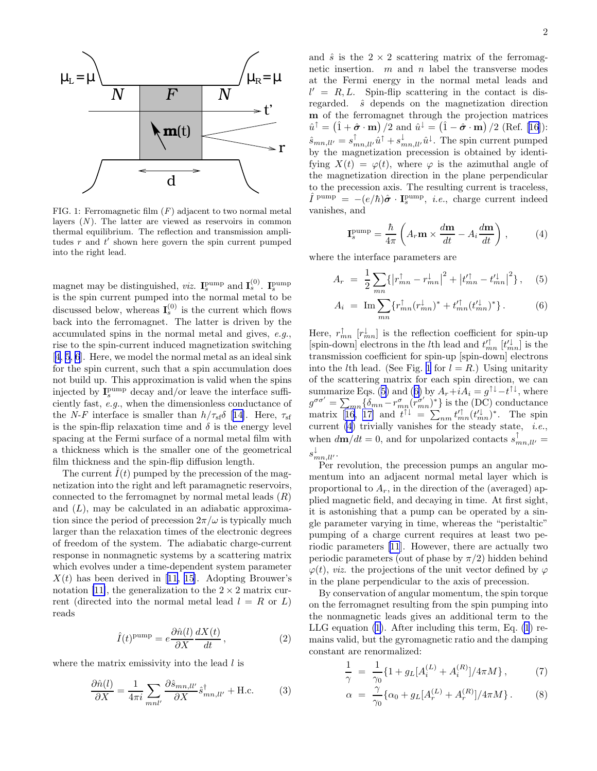<span id="page-1-0"></span>

FIG. 1: Ferromagnetic film  $(F)$  adjacent to two normal metal layers  $(N)$ . The latter are viewed as reservoirs in common thermal equilibrium. The reflection and transmission amplitudes  $r$  and  $t'$  shown here govern the spin current pumped into the right lead.

magnet may be distinguished, *viz.*  $I_s^{pump}$  and  $I_s^{(0)}$ .  $I_s^{pump}$ is the spin current pumped into the normal metal to be discussed below, whereas  $I_s^{(0)}$  is the current which flows back into the ferromagnet. The latter is driven by the accumulated spins in the normal metal and gives, e.g., rise to the spin-current induced magnetization switching [[4, 5](#page-3-0), [6](#page-3-0)]. Here, we model the normal metal as an ideal sink for the spin current, such that a spin accumulation does not build up. This approximation is valid when the spins injected by  $\mathbf{I}_s^{\text{pump}}$  decay and/or leave the interface sufficiently fast, e.g., when the dimensionless conductance of the N-F interface is smaller than  $h/\tau_{\rm sf}\delta$  [\[14](#page-3-0)]. Here,  $\tau_{\rm sf}$ is the spin-flip relaxation time and  $\delta$  is the energy level spacing at the Fermi surface of a normal metal film with a thickness which is the smaller one of the geometrical film thickness and the spin-flip diffusion length.

The current  $\hat{I}(t)$  pumped by the precession of the magnetization into the right and left paramagnetic reservoirs, connected to the ferromagnet by normal metal leads  $(R)$ and  $(L)$ , may be calculated in an adiabatic approximation since the period of precession  $2\pi/\omega$  is typically much larger than the relaxation times of the electronic degrees of freedom of the system. The adiabatic charge-current response in nonmagnetic systems by a scattering matrix which evolves under a time-dependent system parameter  $X(t)$ has been derived in [[11](#page-3-0), [15\]](#page-3-0). Adopting Brouwer's notation [\[11\]](#page-3-0), the generalization to the  $2 \times 2$  matrix current (directed into the normal metal lead  $l = R$  or L) reads

$$
\hat{I}(t)^{\text{pump}} = e \frac{\partial \hat{n}(l)}{\partial X} \frac{dX(t)}{dt},\qquad(2)
$$

where the matrix emissivity into the lead  $l$  is

$$
\frac{\partial \hat{n}(l)}{\partial X} = \frac{1}{4\pi i} \sum_{mnl'} \frac{\partial \hat{s}_{mn,ll'}}{\partial X} \hat{s}_{mn,ll'}^{\dagger} + \text{H.c.}
$$
 (3)

and  $\hat{s}$  is the  $2 \times 2$  scattering matrix of the ferromagnetic insertion.  $m$  and  $n$  label the transverse modes at the Fermi energy in the normal metal leads and  $l' = R, L$ . Spin-flip scattering in the contact is disregarded.  $\hat{s}$  depends on the magnetization direction m of the ferromagnet through the projection matrices  $\hat{u}^{\dagger} = (\hat{1} + \hat{\boldsymbol{\sigma}} \cdot \mathbf{m})/2$  $\hat{u}^{\dagger} = (\hat{1} + \hat{\boldsymbol{\sigma}} \cdot \mathbf{m})/2$  $\hat{u}^{\dagger} = (\hat{1} + \hat{\boldsymbol{\sigma}} \cdot \mathbf{m})/2$  and  $\hat{u}^{\dagger} = (\hat{1} - \hat{\boldsymbol{\sigma}} \cdot \mathbf{m})/2$  (Ref. [[16\]](#page-3-0)):  $\hat{s}_{mn,ll'} = s_{mn,ll'}^{\uparrow} \hat{u}^{\uparrow} + s_{mn,ll'}^{\downarrow} \hat{u}^{\downarrow}$ . The spin current pumped by the magnetization precession is obtained by identifying  $X(t) = \varphi(t)$ , where  $\varphi$  is the azimuthal angle of the magnetization direction in the plane perpendicular to the precession axis. The resulting current is traceless,  $\hat{I}^{\text{pump}} = -(e/\hbar)\hat{\boldsymbol{\sigma}} \cdot \mathbf{I}_s^{\text{pump}}, \ i.e., \text{ charge current indeed}$ vanishes, and

$$
\mathbf{I}_s^{\text{pump}} = \frac{\hbar}{4\pi} \left( A_r \mathbf{m} \times \frac{d\mathbf{m}}{dt} - A_i \frac{d\mathbf{m}}{dt} \right) ,\qquad (4)
$$

where the interface parameters are

$$
A_r = \frac{1}{2} \sum_{mn} \{ \left| r_{mn}^{\dagger} - r_{mn}^{\dagger} \right|^2 + \left| t_{mn}^{\prime \dagger} - t_{mn}^{\prime \dagger} \right|^2 \}, \quad (5)
$$

$$
A_i = \operatorname{Im} \sum_{mn} \{ r_{mn}^\uparrow (r_{mn}^\downarrow)^* + t_{mn}^{\prime \uparrow} (t_{mn}^{\prime \downarrow})^* \}.
$$
 (6)

Here,  $r_{mn}^{\uparrow}$  [ $r_{mn}^{\downarrow}$ ] is the reflection coefficient for spin-up [spin-down] electrons in the *l*<sup>th</sup> lead and  $t'^{\uparrow}_{mn}$  [ $t'^{\downarrow}_{mn}$ ] is the transmission coefficient for spin-up [spin-down] electrons into the *l*th lead. (See Fig. 1 for  $l = R$ .) Using unitarity of the scattering matrix for each spin direction, we can summarize Eqs. (5) and (6) by  $A_r + iA_i = g^{\uparrow \downarrow} - t^{\uparrow \downarrow}$ , where  $g^{\sigma\sigma'} = \sum_{mn} \{ \delta_{mn} - r_{mn}^{\sigma} (r_{mn}^{\sigma'})^* \}$  is the (DC) conductance matrix[[16, 17\]](#page-3-0) and  $t^{\uparrow\downarrow} = \sum_{nm} t'^{\uparrow}_{mn} (t'^{\downarrow}_{mn})^*$ . The spin current  $(4)$  trivially vanishes for the steady state, *i.e.*, when  $d\mathbf{m}/dt = 0$ , and for unpolarized contacts  $s_{mn,ll'}^{\uparrow}$  $s_{mn,ll'}^{\downarrow}$ .

Per revolution, the precession pumps an angular momentum into an adjacent normal metal layer which is proportional to  $A_r$ , in the direction of the (averaged) applied magnetic field, and decaying in time. At first sight, it is astonishing that a pump can be operated by a single parameter varying in time, whereas the "peristaltic" pumping of a charge current requires at least two periodic parameters [\[11](#page-3-0)]. However, there are actually two periodic parameters (out of phase by  $\pi/2$ ) hidden behind  $\varphi(t)$ , *viz.* the projections of the unit vector defined by  $\varphi$ in the plane perpendicular to the axis of precession.

By conservation of angular momentum, the spin torque on the ferromagnet resulting from the spin pumping into the nonmagnetic leads gives an additional term to the LLG equation [\(1](#page-0-0)). After including this term, Eq. [\(1](#page-0-0)) remains valid, but the gyromagnetic ratio and the damping constant are renormalized:

$$
\frac{1}{\gamma} = \frac{1}{\gamma_0} \{ 1 + g_L [A_i^{(L)} + A_i^{(R)}]/4\pi M \},\tag{7}
$$

$$
\alpha = \frac{\gamma}{\gamma_0} \{ \alpha_0 + g_L [A_r^{(L)} + A_r^{(R)}]/4\pi M \}.
$$
 (8)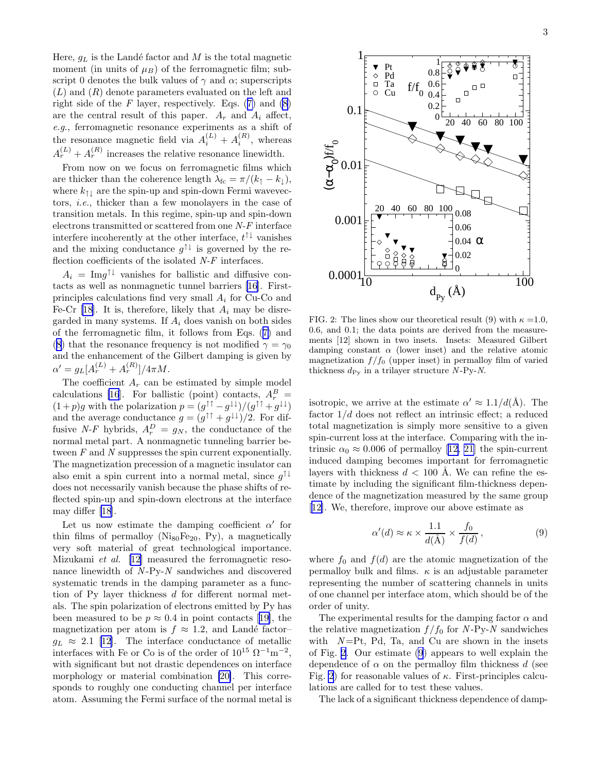Here,  $g_L$  is the Landé factor and M is the total magnetic moment (in units of  $\mu_B$ ) of the ferromagnetic film; subscript 0 denotes the bulk values of  $\gamma$  and  $\alpha$ ; superscripts  $(L)$  and  $(R)$  denote parameters evaluated on the left and right side of the  $F$  layer, respectively. Eqs. ([7\)](#page-1-0) and [\(8](#page-1-0)) are the central result of this paper.  $A_r$  and  $A_i$  affect, e.g., ferromagnetic resonance experiments as a shift of the resonance magnetic field via  $A_i^{(L)} + A_i^{(R)}$ , whereas  $A_r^{(L)} + A_r^{(R)}$  increases the relative resonance linewidth.

From now on we focus on ferromagnetic films which are thicker than the coherence length  $\lambda_{\text{fc}} = \pi/(k_{\uparrow} - k_{\downarrow}),$ where  $k_{\uparrow\downarrow}$  are the spin-up and spin-down Fermi wavevectors, i.e., thicker than a few monolayers in the case of transition metals. In this regime, spin-up and spin-down electrons transmitted or scattered from one N-F interface interfere incoherently at the other interface,  $t^{\uparrow\downarrow}$  vanishes and the mixing conductance  $g^{\uparrow\downarrow}$  is governed by the reflection coefficients of the isolated  $N-F$  interfaces.

 $A_i = \text{Im} g^{\uparrow \downarrow}$  vanishes for ballistic and diffusive contacts as well as nonmagnetic tunnel barriers [\[16](#page-3-0)]. Firstprinciples calculations find very small  $A_i$  for Cu-Co and Fe-Cr [\[18](#page-3-0)]. It is, therefore, likely that  $A_i$  may be disregarded in many systems. If  $A_i$  does vanish on both sides of the ferromagnetic film, it follows from Eqs. ([7\)](#page-1-0) and ([8\)](#page-1-0) that the resonance frequency is not modified  $\gamma = \gamma_0$ and the enhancement of the Gilbert damping is given by  $\alpha' = g_L [A_r^{(L)} + A_r^{(R)}]/4\pi M.$ 

The coefficient  $A_r$  can be estimated by simple model calculations [\[16](#page-3-0)]. For ballistic (point) contacts,  $A_r^B$  =  $(1+p)g$  with the polarization  $p = (g^{\uparrow\uparrow} - g^{\downarrow\downarrow})/(g^{\uparrow\uparrow} + g^{\downarrow\downarrow})$ and the average conductance  $g = (g^{\uparrow \uparrow} + g^{\downarrow \downarrow})/2$ . For diffusive N-F hybrids,  $A_r^D = g_N$ , the conductance of the normal metal part. A nonmagnetic tunneling barrier between F and N suppresses the spin current exponentially. The magnetization precession of a magnetic insulator can also emit a spin current into a normal metal, since  $g^{\uparrow\downarrow}$ does not necessarily vanish because the phase shifts of reflected spin-up and spin-down electrons at the interface may differ [\[18](#page-3-0)].

Let us now estimate the damping coefficient  $\alpha'$  for thin films of permalloy ( $Nis_0Fe_{20}$ , Py), a magnetically very soft material of great technological importance. Mizukami et al. [\[12](#page-3-0)] measured the ferromagnetic resonance linewidth of  $N-Py-N$  sandwiches and discovered systematic trends in the damping parameter as a function of Py layer thickness d for different normal metals. The spin polarization of electrons emitted by Py has beenmeasured to be  $p \approx 0.4$  in point contacts [[19\]](#page-3-0), the magnetization per atom is  $f \approx 1.2$ , and Landé factor–  $g_L \approx 2.1$  [\[12](#page-3-0)]. The interface conductance of metallic interfaces with Fe or Co is of the order of  $10^{15} \Omega^{-1} \text{m}^{-2}$ , with significant but not drastic dependences on interface morphology or material combination [\[20\]](#page-3-0). This corresponds to roughly one conducting channel per interface atom. Assuming the Fermi surface of the normal metal is



FIG. 2: The lines show our theoretical result (9) with  $\kappa = 1.0$ , 0.6, and 0.1; the data points are derived from the measurements [12] shown in two insets. Insets: Measured Gilbert damping constant  $\alpha$  (lower inset) and the relative atomic magnetization  $f/f_0$  (upper inset) in permalloy film of varied thickness  $d_{\text{Py}}$  in a trilayer structure N-Py-N.

isotropic, we arrive at the estimate  $\alpha' \approx 1.1/d(\AA)$ . The factor  $1/d$  does not reflect an intrinsic effect; a reduced total magnetization is simply more sensitive to a given spin-current loss at the interface. Comparing with the in-trinsic $\alpha_0 \approx 0.006$  of permalloy [[12, 21](#page-3-0)] the spin-current induced damping becomes important for ferromagnetic layers with thickness  $d < 100$  Å. We can refine the estimate by including the significant film-thickness dependence of the magnetization measured by the same group [[12\]](#page-3-0). We, therefore, improve our above estimate as

$$
\alpha'(d) \approx \kappa \times \frac{1.1}{d(\mathring{A})} \times \frac{f_0}{f(d)},\tag{9}
$$

where  $f_0$  and  $f(d)$  are the atomic magnetization of the permalloy bulk and films.  $\kappa$  is an adjustable parameter representing the number of scattering channels in units of one channel per interface atom, which should be of the order of unity.

The experimental results for the damping factor  $\alpha$  and the relative magnetization  $f/f_0$  for N-Py-N sandwiches with  $N = Pt$ , Pd, Ta, and Cu are shown in the insets of Fig. 2. Our estimate (9) appears to well explain the dependence of  $\alpha$  on the permalloy film thickness d (see Fig. 2) for reasonable values of  $\kappa$ . First-principles calculations are called for to test these values.

The lack of a significant thickness dependence of damp-